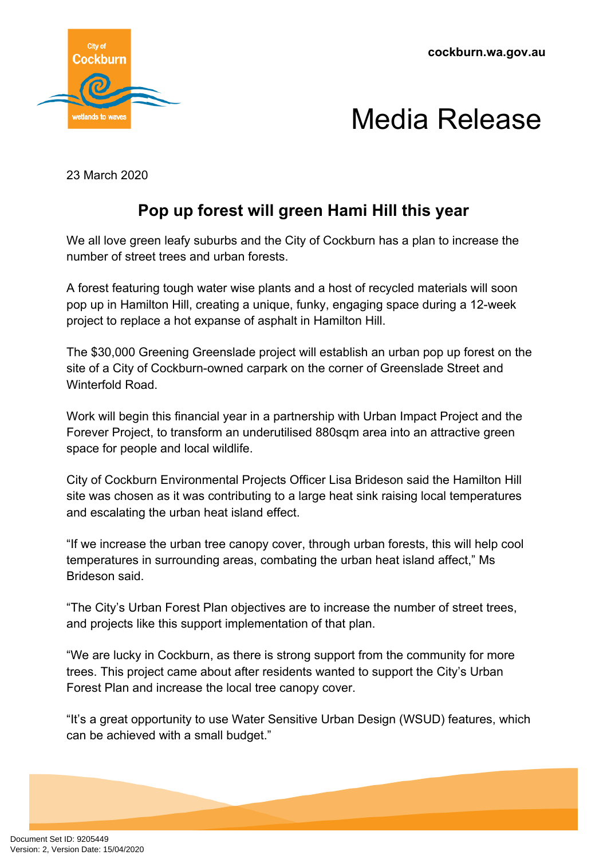

## Media Release

23 March 2020

## **Pop up forest will green Hami Hill this year**

We all love green leafy suburbs and the City of Cockburn has a plan to increase the number of street trees and urban forests.

A forest featuring tough water wise plants and a host of recycled materials will soon pop up in Hamilton Hill, creating a unique, funky, engaging space during a 12-week project to replace a hot expanse of asphalt in Hamilton Hill.

The \$30,000 Greening Greenslade project will establish an urban pop up forest on the site of a City of Cockburn-owned carpark on the corner of Greenslade Street and Winterfold Road.

Work will begin this financial year in a partnership with Urban Impact Project and the Forever Project, to transform an underutilised 880sqm area into an attractive green space for people and local wildlife.

City of Cockburn Environmental Projects Officer Lisa Brideson said the Hamilton Hill site was chosen as it was contributing to a large heat sink raising local temperatures and escalating the urban heat island effect.

"If we increase the urban tree canopy cover, through urban forests, this will help cool temperatures in surrounding areas, combating the urban heat island affect," Ms Brideson said.

"The City's Urban Forest Plan objectives are to increase the number of street trees, and projects like this support implementation of that plan.

"We are lucky in Cockburn, as there is strong support from the community for more trees. This project came about after residents wanted to support the City's Urban Forest Plan and increase the local tree canopy cover.

"It's a great opportunity to use Water Sensitive Urban Design (WSUD) features, which can be achieved with a small budget."

Document Set ID: 9205449<br>Version: 2, Version Date: 15/04/2020